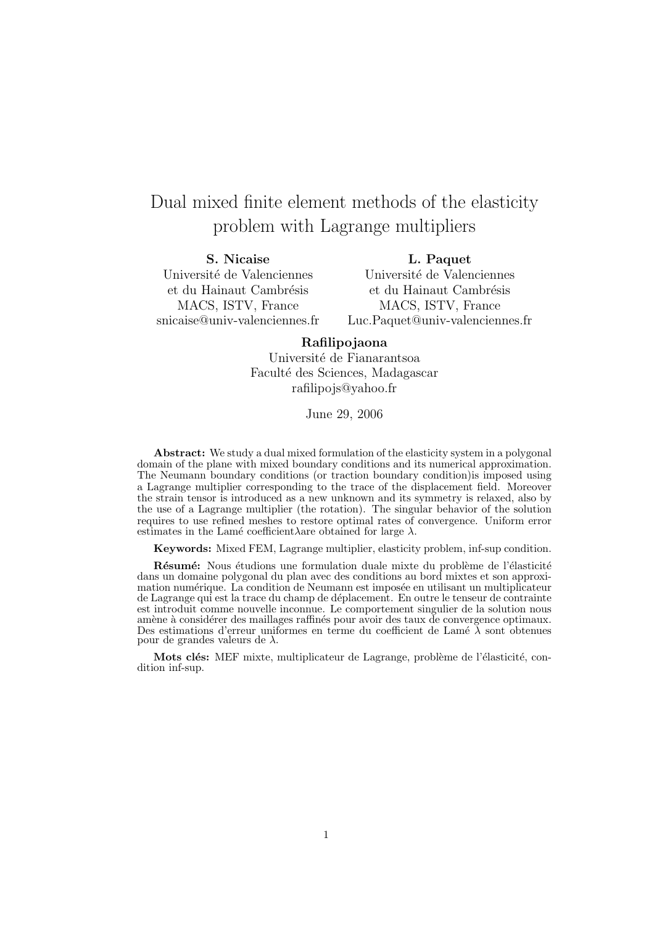# Dual mixed finite element methods of the elasticity problem with Lagrange multipliers

S. Nicaise Université de Valenciennes et du Hainaut Cambrésis MACS, ISTV, France snicaise@univ-valenciennes.fr

L. Paquet Université de Valenciennes et du Hainaut Cambrésis MACS, ISTV, France Luc.Paquet@univ-valenciennes.fr

### Rafilipojaona

Université de Fianarantsoa Faculté des Sciences, Madagascar rafilipojs@yahoo.fr

June 29, 2006

Abstract: We study a dual mixed formulation of the elasticity system in a polygonal domain of the plane with mixed boundary conditions and its numerical approximation. The Neumann boundary conditions (or traction boundary condition)is imposed using a Lagrange multiplier corresponding to the trace of the displacement field. Moreover the strain tensor is introduced as a new unknown and its symmetry is relaxed, also by the use of a Lagrange multiplier (the rotation). The singular behavior of the solution requires to use refined meshes to restore optimal rates of convergence. Uniform error estimates in the Lamé coefficient λare obtained for large  $\lambda$ .

Keywords: Mixed FEM, Lagrange multiplier, elasticity problem, inf-sup condition.

Résumé: Nous étudions une formulation duale mixte du problème de l'élasticité dans un domaine polygonal du plan avec des conditions au bord mixtes et son approximation numérique. La condition de Neumann est imposée en utilisant un multiplicateur de Lagrange qui est la trace du champ de d´eplacement. En outre le tenseur de contrainte est introduit comme nouvelle inconnue. Le comportement singulier de la solution nous amène à considérer des maillages raffinés pour avoir des taux de convergence optimaux. Des estimations d'erreur uniformes en terme du coefficient de Lamé  $\lambda$  sont obtenues pour de grandes valeurs de  $\lambda$ .

Mots clés: MEF mixte, multiplicateur de Lagrange, problème de l'élasticité, condition inf-sup.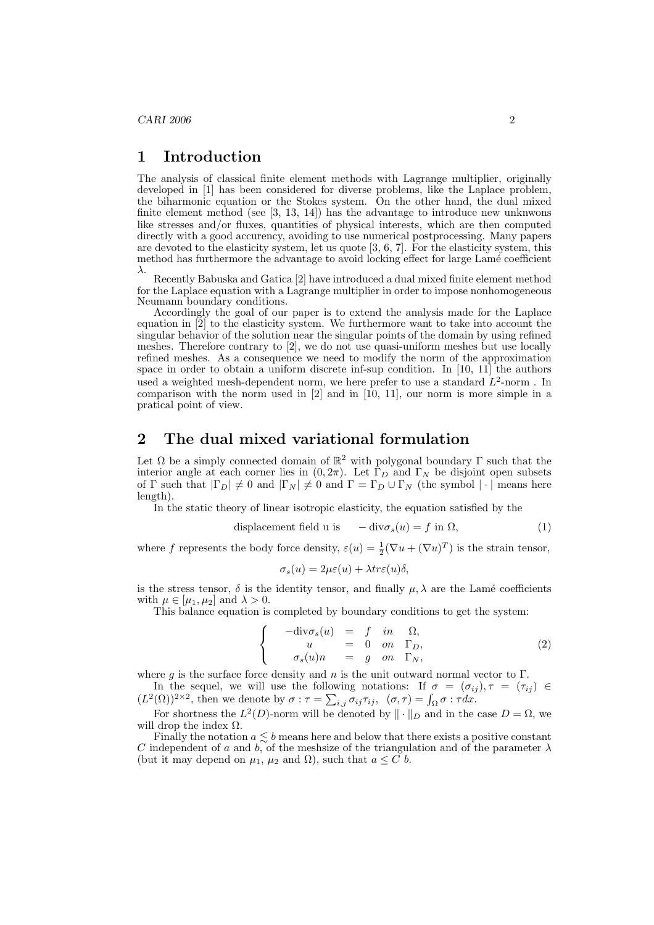#### 1 Introduction

The analysis of classical finite element methods with Lagrange multiplier, originally developed in [1] has been considered for diverse problems, like the Laplace problem, the biharmonic equation or the Stokes system. On the other hand, the dual mixed finite element method (see  $[3, 13, 14]$ ) has the advantage to introduce new unknwons like stresses and/or fluxes, quantities of physical interests, which are then computed directly with a good accurency, avoiding to use numerical postprocessing. Many papers are devoted to the elasticity system, let us quote [3, 6, 7]. For the elasticity system, this method has furthermore the advantage to avoid locking effect for large Lamé coefficient λ.

Recently Babuska and Gatica [2] have introduced a dual mixed finite element method for the Laplace equation with a Lagrange multiplier in order to impose nonhomogeneous Neumann boundary conditions.

Accordingly the goal of our paper is to extend the analysis made for the Laplace equation in [2] to the elasticity system. We furthermore want to take into account the singular behavior of the solution near the singular points of the domain by using refined meshes. Therefore contrary to [2], we do not use quasi-uniform meshes but use locally refined meshes. As a consequence we need to modify the norm of the approximation space in order to obtain a uniform discrete inf-sup condition. In [10, 11] the authors used a weighted mesh-dependent norm, we here prefer to use a standard  $L^2$ -norm. In comparison with the norm used in  $[2]$  and in  $[10, 11]$ , our norm is more simple in a pratical point of view.

# 2 The dual mixed variational formulation

Let  $\Omega$  be a simply connected domain of  $\mathbb{R}^2$  with polygonal boundary  $\Gamma$  such that the interior angle at each corner lies in  $(0, 2\pi)$ . Let  $\Gamma_D$  and  $\Gamma_N$  be disjoint open subsets of Γ such that  $|\Gamma_D| \neq 0$  and  $|\Gamma_N| \neq 0$  and  $\Gamma = \Gamma_D \cup \Gamma_N$  (the symbol  $|\cdot|$  means here length).

In the static theory of linear isotropic elasticity, the equation satisfied by the

$$
displacement field u is -div\sigma_s(u) = f in \Omega,
$$
\n(1)

where f represents the body force density,  $\varepsilon(u) = \frac{1}{2}(\nabla u + (\nabla u)^T)$  is the strain tensor,

$$
\sigma_s(u) = 2\mu\varepsilon(u) + \lambda tr\varepsilon(u)\delta,
$$

is the stress tensor,  $\delta$  is the identity tensor, and finally  $\mu, \lambda$  are the Lamé coefficients with  $\mu \in [\mu_1, \mu_2]$  and  $\lambda > 0$ .

This balance equation is completed by boundary conditions to get the system:

$$
\begin{cases}\n-\text{div}\sigma_s(u) &= f \quad in \quad \Omega, \\
u &= 0 \quad on \quad \Gamma_D, \\
\sigma_s(u)n &= g \quad on \quad \Gamma_N,\n\end{cases}
$$
\n(2)

where q is the surface force density and n is the unit outward normal vector to  $\Gamma$ . In the sequel, we will use the following notations: If  $\sigma = (\sigma_{ij}), \tau = (\tau_{ij}) \in$ 

In the sequel, we will use the following notations: If  $\sigma = (\sigma_{ij}$ <br>  $(L^2(\Omega))^{2\times 2}$ , then we denote by  $\sigma : \tau = \sum_{i,j} \sigma_{ij} \tau_{ij}$ ,  $(\sigma, \tau) = \int_{\Omega} \sigma : \tau dx$ .

For shortness the  $L^2(D)$ -norm will be denoted by  $\|\cdot\|_D$  and in the case  $D = \Omega$ , we will drop the index  $\Omega$ .

Finally the notation  $a \lesssim b$  means here and below that there exists a positive constant C independent of a and b, of the meshsize of the triangulation and of the parameter  $\lambda$ (but it may depend on  $\mu_1$ ,  $\mu_2$  and  $\Omega$ ), such that  $a \leq C$  b.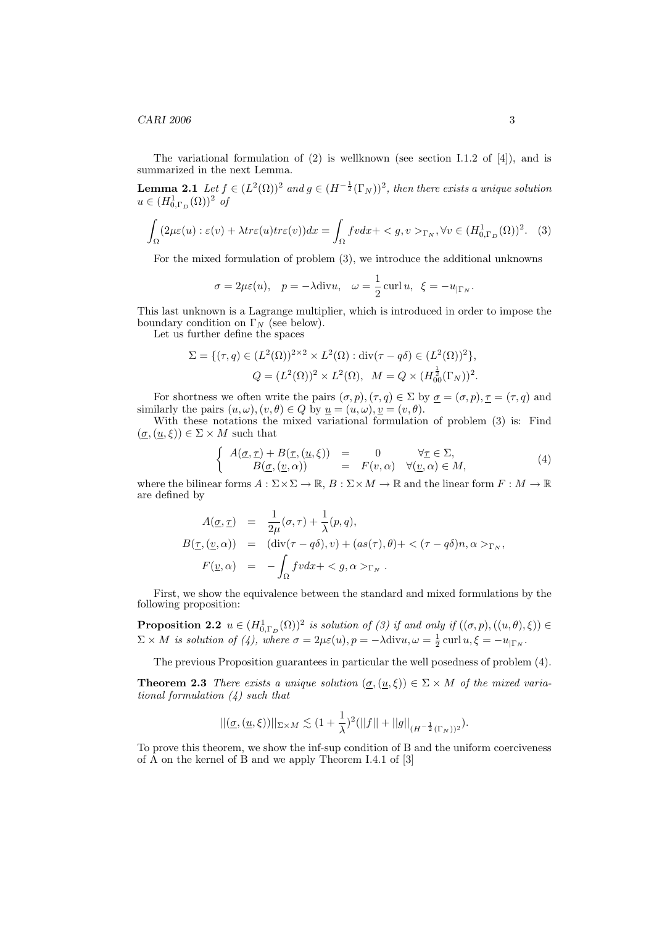$CARI$  2006 3

The variational formulation of  $(2)$  is wellknown (see section I.1.2 of [4]), and is summarized in the next Lemma.

**Lemma 2.1** Let  $f \in (L^2(\Omega))^2$  and  $g \in (H^{-\frac{1}{2}}(\Gamma_N))^2$ , then there exists a unique solution  $u \in (H^1_{0,\Gamma_D}(\Omega))^2$  of

$$
\int_{\Omega} (2\mu\varepsilon(u) : \varepsilon(v) + \lambda tr\varepsilon(u) tr\varepsilon(v)) dx = \int_{\Omega} fv dx + \langle g, v \rangle_{\Gamma_N}, \forall v \in (H^1_{0,\Gamma_D}(\Omega))^2.
$$
 (3)

For the mixed formulation of problem (3), we introduce the additional unknowns

$$
\sigma = 2\mu\varepsilon(u), \quad p = -\lambda \text{div}u, \quad \omega = \frac{1}{2}\operatorname{curl}u, \quad \xi = -u_{|\Gamma_N}
$$

This last unknown is a Lagrange multiplier, which is introduced in order to impose the boundary condition on  $\Gamma_N$  (see below).

Let us further define the spaces

$$
\Sigma = \{ (\tau, q) \in (L^{2}(\Omega))^{2 \times 2} \times L^{2}(\Omega) : \text{div}(\tau - q\delta) \in (L^{2}(\Omega))^{2} \},
$$
  

$$
Q = (L^{2}(\Omega))^{2} \times L^{2}(\Omega), \quad M = Q \times (H_{00}^{\frac{1}{2}}(\Gamma_{N}))^{2}.
$$

For shortness we often write the pairs  $(\sigma, p), (\tau, q) \in \Sigma$  by  $\underline{\sigma} = (\sigma, p), \underline{\tau} = (\tau, q)$  and similarly the pairs  $(u, \omega), (v, \theta) \in Q$  by  $u = (u, \omega), v = (v, \theta)$ .

With these notations the mixed variational formulation of problem (3) is: Find  $(\underline{\sigma},(\underline{u},\xi)) \in \Sigma \times M$  such that ½

$$
\begin{cases}\nA(\underline{\sigma}, \underline{\tau}) + B(\underline{\tau}, (\underline{u}, \xi)) &= 0 & \forall \underline{\tau} \in \Sigma, \\
B(\underline{\sigma}, (\underline{v}, \alpha)) &= F(v, \alpha) & \forall (\underline{v}, \alpha) \in M,\n\end{cases}
$$
\n(4)

where the bilinear forms  $A: \Sigma \times \Sigma \to \mathbb{R}, B: \Sigma \times M \to \mathbb{R}$  and the linear form  $F: M \to \mathbb{R}$ are defined by

$$
A(\underline{\sigma}, \underline{\tau}) = \frac{1}{2\mu}(\sigma, \tau) + \frac{1}{\lambda}(p, q),
$$
  
\n
$$
B(\underline{\tau}, (\underline{v}, \alpha)) = (\text{div}(\tau - q\delta), v) + (as(\tau), \theta) + \langle (\tau - q\delta)n, \alpha \rangle_{\Gamma_N},
$$
  
\n
$$
F(\underline{v}, \alpha) = -\int_{\Omega} fvdx + \langle g, \alpha \rangle_{\Gamma_N}.
$$

First, we show the equivalence between the standard and mixed formulations by the following proposition:

**Proposition 2.2**  $u \in (H^1_{0,\Gamma_D}(\Omega))^2$  is solution of (3) if and only if  $((\sigma, p), ((u, \theta), \xi)) \in$  $\Sigma \times M$  is solution of (4), where  $\sigma = 2\mu\varepsilon(u)$ ,  $p = -\lambda \text{div}u$ ,  $\omega = \frac{1}{2} \text{curl } u$ ,  $\xi = -u_{|\Gamma_N}$ .

The previous Proposition guarantees in particular the well posedness of problem (4).

**Theorem 2.3** There exists a unique solution  $(\sigma, (\underline{u}, \xi)) \in \Sigma \times M$  of the mixed variational formulation (4) such that

$$
||(\underline{\sigma}, (\underline{u}, \xi))||_{\Sigma \times M} \lesssim (1 + \frac{1}{\lambda})^2 (||f|| + ||g||_{(H^{-\frac{1}{2}}(\Gamma_N))^2}).
$$

To prove this theorem, we show the inf-sup condition of B and the uniform coerciveness of  $\overline{A}$  on the kernel of  $\overline{B}$  and we apply Theorem I.4.1 of [3]

.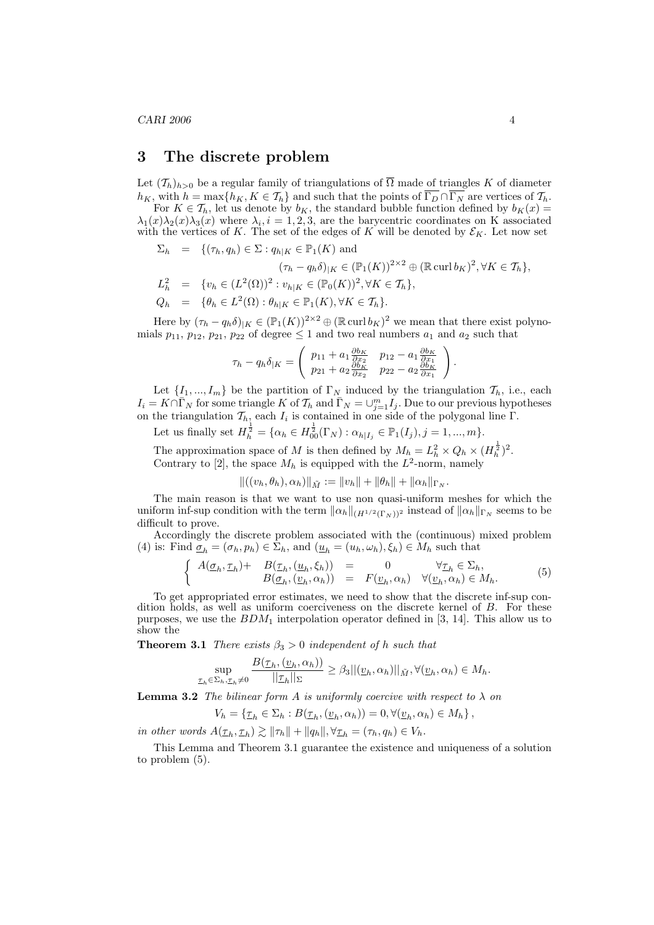$CARI$  2006 4

#### 3 The discrete problem

Let  $(\mathcal{T}_h)_{h>0}$  be a regular family of triangulations of  $\overline{\Omega}$  made of triangles K of diameter  $h_K$ , with  $h = \max\{h_K, K \in \mathcal{T}_h\}$  and such that the points of  $\overline{\Gamma_D} \cap \overline{\Gamma_N}$  are vertices of  $\mathcal{T}_h$ .

For  $K \in \mathcal{T}_h$ , let us denote by  $b_K$ , the standard bubble function defined by  $b_K(x) =$  $\lambda_1(x)\lambda_2(x)\lambda_3(x)$  where  $\lambda_i, i = 1, 2, 3$ , are the barycentric coordinates on K associated with the vertices of K. The set of the edges of K will be denoted by  $\mathcal{E}_K$ . Let now set

$$
\Sigma_h = \{ (\tau_h, q_h) \in \Sigma : q_{h|K} \in \mathbb{P}_1(K) \text{ and}
$$
  
\n
$$
(\tau_h - q_h \delta)_{|K} \in (\mathbb{P}_1(K))^{2 \times 2} \oplus (\mathbb{R} \operatorname{curl} b_K)^2, \forall K \in \mathcal{T}_h \},
$$
  
\n
$$
L_h^2 = \{ v_h \in (L^2(\Omega))^2 : v_{h|K} \in (\mathbb{P}_0(K))^2, \forall K \in \mathcal{T}_h \},
$$
  
\n
$$
Q_h = \{ \theta_h \in L^2(\Omega) : \theta_{h|K} \in \mathbb{P}_1(K), \forall K \in \mathcal{T}_h \}.
$$

Here by  $(\tau_h - q_h \delta)_{|K} \in (\mathbb{P}_1(K))^{2 \times 2} \oplus (\mathbb{R} \operatorname{curl} b_K)^2$  we mean that there exist polynomials  $p_{11}$ ,  $p_{12}$ ,  $p_{21}$ ,  $p_{22}$  of degree  $\leq 1$  and two real numbers  $a_1$  and  $a_2$  such that

$$
\tau_h - q_h \delta_{|K} = \begin{pmatrix} p_{11} + a_1 \frac{\partial b_K}{\partial x_2} & p_{12} - a_1 \frac{\partial b_K}{\partial x_1} \\ p_{21} + a_2 \frac{\partial b_K}{\partial x_2} & p_{22} - a_2 \frac{\partial b_K}{\partial x_1} \end{pmatrix}
$$

Let  $\{I_1, ..., I_m\}$  be the partition of  $\Gamma_N$  induced by the triangulation  $\mathcal{T}_h$ , i.e., each  $I_i = K \cap \overline{\Gamma}_N$  for some triangle K of  $\mathcal{T}_h$  and  $\overline{\Gamma}_N = \cup_{j=1}^m I_j$ . Due to our previous hypotheses on the triangulation  $\mathcal{T}_h$ , each  $I_i$  is contained in one side of the polygonal line  $\Gamma$ .

Let us finally set  $H_h^{\frac{1}{2}} = \{ \alpha_h \in H_{00}^{\frac{1}{2}}(\Gamma_N) : \alpha_{h|I_j} \in \mathbb{P}_1(I_j), j = 1, ..., m \}.$ 

The approximation space of M is then defined by  $M_h = L_h^2 \times Q_h \times (H_h^{\frac{1}{2}})^2$ . Contrary to [2], the space  $M_h$  is equipped with the  $L^2$ -norm, namely

$$
\|((v_h, \theta_h), \alpha_h)\|_{\tilde{M}} := \|v_h\| + \|\theta_h\| + \|\alpha_h\|_{\Gamma_N}.
$$

The main reason is that we want to use non quasi-uniform meshes for which the uniform inf-sup condition with the term  $\|\alpha_h\|_{(H^{1/2}(\Gamma_N))^2}$  instead of  $\|\alpha_h\|_{\Gamma_N}$  seems to be difficult to prove.

Accordingly the discrete problem associated with the (continuous) mixed problem (4) is: Find  $\underline{\sigma}_h = (\sigma_h, p_h) \in \Sigma_h$ , and  $(\underline{u}_h = (u_h, \omega_h), \xi_h) \in M_h$  such that

$$
\begin{cases}\nA(\underline{\sigma}_h, \underline{\tau}_h) + B(\underline{\tau}_h, (\underline{u}_h, \xi_h)) = 0 & \forall \underline{\tau}_h \in \Sigma_h, \\
B(\underline{\sigma}_h, (\underline{v}_h, \alpha_h)) = F(\underline{v}_h, \alpha_h) & \forall (\underline{v}_h, \alpha_h) \in M_h.\n\end{cases} (5)
$$

To get appropriated error estimates, we need to show that the discrete inf-sup condition holds, as well as uniform coerciveness on the discrete kernel of B. For these purposes, we use the  $BDM_1$  interpolation operator defined in [3, 14]. This allow us to show the

**Theorem 3.1** There exists  $\beta_3 > 0$  independent of h such that

$$
\sup_{\underline{\tau}_h \in \Sigma_h, \underline{\tau}_h \neq 0} \frac{B(\underline{\tau}_h, (\underline{v}_h, \alpha_h))}{||\underline{\tau}_h||_{\Sigma}} \ge \beta_3 ||(\underline{v}_h, \alpha_h)||_{\tilde{M}}, \forall (\underline{v}_h, \alpha_h) \in M_h.
$$

**Lemma 3.2** The bilinear form A is uniformly coercive with respect to  $\lambda$  on

$$
V_h = \{ \underline{\tau}_h \in \Sigma_h : B(\underline{\tau}_h, (\underline{v}_h, \alpha_h)) = 0, \forall (\underline{v}_h, \alpha_h) \in M_h \},
$$

in other words  $A(\underline{\tau}_h, \underline{\tau}_h) \gtrsim \|\tau_h\| + \|q_h\|, \forall \underline{\tau}_h = (\tau_h, q_h) \in V_h.$ 

This Lemma and Theorem 3.1 guarantee the existence and uniqueness of a solution to problem (5).

.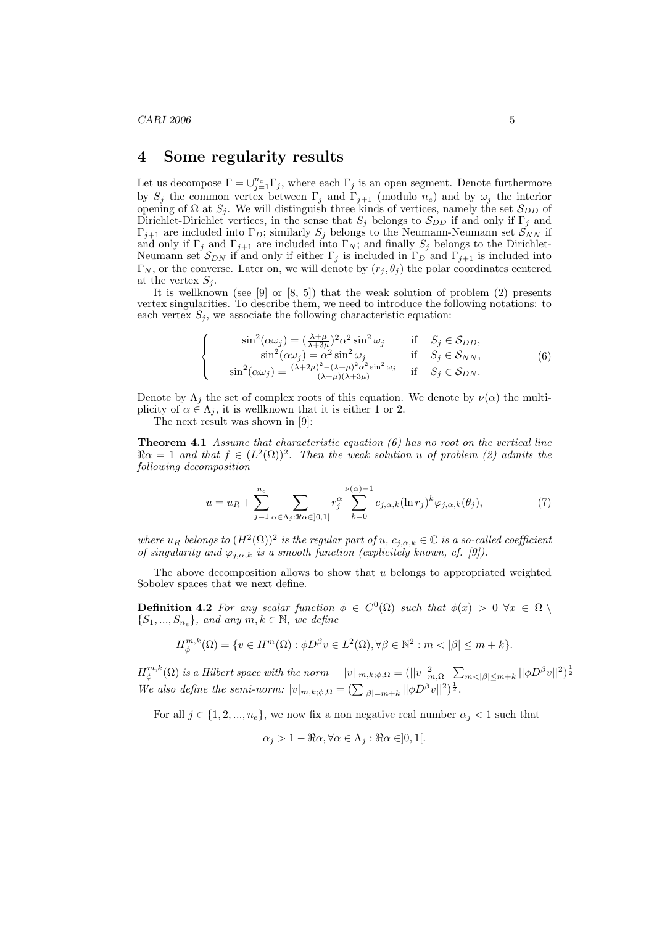#### 4 Some regularity results

Let us decompose  $\Gamma = \cup_{j=1}^{n_e} \overline{\Gamma}_j$ , where each  $\Gamma_j$  is an open segment. Denote furthermore by  $S_j$  the common vertex between  $\Gamma_j$  and  $\Gamma_{j+1}$  (modulo  $n_e$ ) and by  $\omega_j$  the interior opening of  $\Omega$  at  $S_j$ . We will distinguish three kinds of vertices, namely the set  $S_{DD}$  of Dirichlet-Dirichlet vertices, in the sense that  $S_j$  belongs to  $S_{DD}$  if and only if  $\Gamma_j$  and  $\Gamma_{j+1}$  are included into  $\Gamma_D$ ; similarly  $S_j$  belongs to the Neumann-Neumann set  $S_{NN}$  if and only if  $\Gamma_j$  and  $\Gamma_{j+1}$  are included into  $\Gamma_N$ ; and finally  $S_j$  belongs to the Dirichlet-Neumann set  $S_{DN}$  if and only if either  $\Gamma_j$  is included in  $\Gamma_D$  and  $\Gamma_{j+1}$  is included into  $\Gamma_N$ , or the converse. Later on, we will denote by  $(r_j, \theta_j)$  the polar coordinates centered at the vertex  $S_j$ .

It is wellknown (see [9] or [8, 5]) that the weak solution of problem (2) presents vertex singularities. To describe them, we need to introduce the following notations: to each vertex  $S_j$ , we associate the following characteristic equation:

$$
\begin{cases}\n\sin^2(\alpha\omega_j) = (\frac{\lambda+\mu}{\lambda+3\mu})^2 \alpha^2 \sin^2 \omega_j & \text{if } S_j \in \mathcal{S}_{DD}, \\
\sin^2(\alpha\omega_j) = \alpha^2 \sin^2 \omega_j & \text{if } S_j \in \mathcal{S}_{NN}, \\
\sin^2(\alpha\omega_j) = \frac{(\lambda+2\mu)^2 - (\lambda+\mu)^2 \alpha^2 \sin^2 \omega_j}{(\lambda+\mu)(\lambda+3\mu)} & \text{if } S_j \in \mathcal{S}_{DN}.\n\end{cases}
$$
\n(6)

Denote by  $\Lambda_j$  the set of complex roots of this equation. We denote by  $\nu(\alpha)$  the multiplicity of  $\alpha \in \Lambda_i$ , it is wellknown that it is either 1 or 2.

The next result was shown in [9]:

**Theorem 4.1** Assume that characteristic equation  $(6)$  has no root on the vertical line  $\Re \alpha = 1$  and that  $f \in (L^2(\Omega))^2$ . Then the weak solution u of problem (2) admits the following decomposition

$$
u = u_R + \sum_{j=1}^{n_e} \sum_{\alpha \in \Lambda_j : \Re \alpha \in ]0,1[} r_j^{\alpha} \sum_{k=0}^{\nu(\alpha)-1} c_{j,\alpha,k} (\ln r_j)^k \varphi_{j,\alpha,k}(\theta_j), \tag{7}
$$

where  $u_R$  belongs to  $(H^2(\Omega))^2$  is the regular part of  $u, c_{j,\alpha,k} \in \mathbb{C}$  is a so-called coefficient of singularity and  $\varphi_{j,\alpha,k}$  is a smooth function (explicitely known, cf. [9]).

The above decomposition allows to show that  $u$  belongs to appropriated weighted Sobolev spaces that we next define.

**Definition 4.2** For any scalar function  $\phi \in C^0(\overline{\Omega})$  such that  $\phi(x) > 0 \ \forall x \in \overline{\Omega} \setminus$  $\{S_1, ..., S_{n_e}\}\$ , and any  $m, k \in \mathbb{N}$ , we define

$$
H^{m,k}_{\phi}(\Omega)=\{v\in H^{m}(\Omega): \phi D^{\beta}v\in L^{2}(\Omega), \forall \beta\in \mathbb{N}^{2}: m<|\beta|\leq m+k\}.
$$

 $H^{m,k}_{\phi}(\Omega)$  is a Hilbert space with the norm  $||v||_{m,k;\phi,\Omega} = (||v||^2_{m,\Omega} + \sum$  $H_{\phi}^{m,k}(\Omega)$  is a Hilbert space with the norm  $||v||_{m,k;\phi,\Omega} = (||v||_{m,\Omega}^2 + \sum_{m < |\beta| \le m+k} ||\phi D^{\beta}v||^2)^{\frac{1}{2}}$ <br>We also define the semi-norm:  $|v|_{m,k;\phi,\Omega} = (\sum_{|\beta|=m+k} ||\phi D^{\beta}v||^2)^{\frac{1}{2}}$ .

For all  $j \in \{1, 2, ..., n_e\}$ , we now fix a non negative real number  $\alpha_j < 1$  such that

$$
\alpha_j > 1 - \Re \alpha, \forall \alpha \in \Lambda_j : \Re \alpha \in ]0,1[.
$$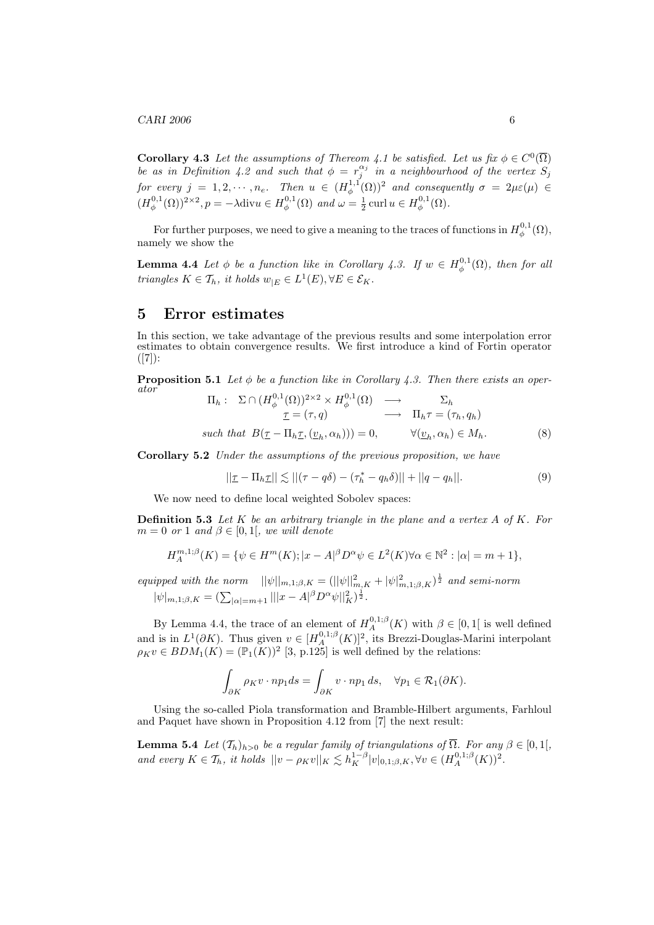$CARI$  2006 6

**Corollary 4.3** Let the assumptions of Thereom 4.1 be satisfied. Let us fix  $\phi \in C^0(\overline{\Omega})$ be as in Definition 4.2 and such that  $\phi = r_j^{\alpha_j}$  in a neighbourhood of the vertex  $S_j$ for every  $j = 1, 2, \dots, n_e$ . Then  $u \in (H^{1,1}_{\phi}(\Omega))^2$  and consequently  $\sigma = 2\mu\varepsilon(\mu)$   $\in$  $(H_{\phi}^{0,1}(\Omega))^{2\times 2}, p = -\lambda \text{div}u \in H_{\phi}^{0,1}(\Omega) \text{ and } \omega = \frac{1}{2} \text{curl } u \in H_{\phi}^{0,1}(\Omega).$ 

For further purposes, we need to give a meaning to the traces of functions in  $H_{\phi}^{0,1}(\Omega)$ , namely we show the

**Lemma 4.4** Let  $\phi$  be a function like in Corollary 4.3. If  $w \in H_{\phi}^{0,1}(\Omega)$ , then for all triangles  $K \in \mathcal{T}_h$ , it holds  $w_{|E} \in L^1(E), \forall E \in \mathcal{E}_K$ .

#### 5 Error estimates

In this section, we take advantage of the previous results and some interpolation error estimates to obtain convergence results. We first introduce a kind of Fortin operator  $([7])$ :

**Proposition 5.1** Let  $\phi$  be a function like in Corollary 4.3. Then there exists an operator

$$
\Pi_h: \Sigma \cap (H_{\phi}^{0,1}(\Omega))^{2 \times 2} \times H_{\phi}^{0,1}(\Omega) \longrightarrow \Sigma_h
$$
  
\n
$$
\underline{\tau} = (\tau, q) \longrightarrow \Pi_h \tau = (\tau_h, q_h)
$$
  
\nsuch that  $B(\underline{\tau} - \Pi_h \underline{\tau}, (\underline{v}_h, \alpha_h))) = 0, \qquad \forall (\underline{v}_h, \alpha_h) \in M_h.$  (8)

Corollary 5.2 Under the assumptions of the previous proposition, we have

$$
||\underline{\tau} - \Pi_h \underline{\tau}|| \lesssim ||(\tau - q\delta) - (\tau_h^* - q_h \delta)|| + ||q - q_h||. \tag{9}
$$

We now need to define local weighted Sobolev spaces:

**Definition 5.3** Let K be an arbitrary triangle in the plane and a vertex  $A$  of  $K$ . For  $m = 0$  or 1 and  $\beta \in [0, 1]$ , we will denote

$$
H_A^{m,1;\beta}(K) = \{ \psi \in H^m(K); |x - A|^{\beta} D^{\alpha} \psi \in L^2(K) \forall \alpha \in \mathbb{N}^2 : |\alpha| = m + 1 \},\
$$

equipped with the norm  $||\psi||_{m,1;\beta,K} = (||\psi||_{m,K}^2 + |\psi|_{m,1;\beta,K}^2)^{\frac{1}{2}}$  and semi-norm  $|\psi|_{m,1;\beta,K} = (\sum_{|\alpha|=m+1} |||x - A|^{\beta} D^{\alpha} \psi||_{K}^2)^{\frac{1}{2}}$ .

By Lemma 4.4, the trace of an element of  $H_A^{0,1;\beta}(K)$  with  $\beta \in [0,1]$  is well defined and is in  $L^1(\partial K)$ . Thus given  $v \in [H_A^{0,1,\beta}(K)]^2$ , its Brezzi-Douglas-Marini interpolant  $\rho_K v \in BDM_1(K) = (\mathbb{P}_1(K))^2$  [3, p.125] is well defined by the relations:

$$
\int_{\partial K} \rho_K v \cdot np_1 ds = \int_{\partial K} v \cdot np_1 ds, \quad \forall p_1 \in \mathcal{R}_1(\partial K).
$$

Using the so-called Piola transformation and Bramble-Hilbert arguments, Farhloul and Paquet have shown in Proposition 4.12 from [7] the next result:

**Lemma 5.4** Let  $(\mathcal{T}_h)_{h>0}$  be a regular family of triangulations of  $\overline{\Omega}$ . For any  $\beta \in [0,1],$ and every  $K \in \mathcal{T}_h$ , it holds  $||v - \rho_K v||_K \lesssim h_K^{1-\beta} |v|_{0,1;\beta,K}, \forall v \in (H_A^{0,1;\beta}(K))^2$ .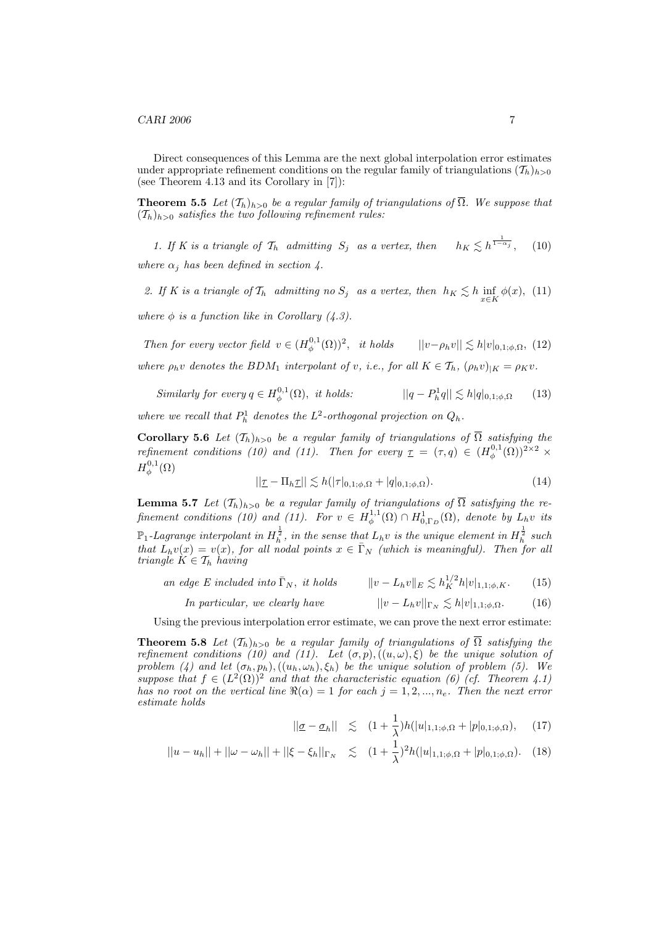Direct consequences of this Lemma are the next global interpolation error estimates under appropriate refinement conditions on the regular family of triangulations  $(T_h)_{h>0}$ (see Theorem 4.13 and its Corollary in [7]):

**Theorem 5.5** Let  $(T_h)_{h>0}$  be a regular family of triangulations of  $\overline{\Omega}$ . We suppose that  $(T_h)_{h>0}$  satisfies the two following refinement rules:

1. If K is a triangle of  $\mathcal{T}_h$  admitting  $S_j$  as a vertex, then  $\frac{1}{1-\alpha_j}$ , (10) where  $\alpha_i$  has been defined in section 4.

2. If K is a triangle of  $\mathcal{T}_h$  admitting no  $S_j$  as a vertex, then  $h_K \lesssim h \inf_{x \in K} \phi(x)$ , (11)

where  $\phi$  is a function like in Corollary (4.3).

Then for every vector field  $v \in (H^{0,1}_{\phi}(\Omega))^2$ , it holds  $||v - \rho_h v|| \lesssim h|v|_{0,1;\phi,\Omega}$ , (12) where  $\rho_h v$  denotes the BDM<sub>1</sub> interpolant of v, i.e., for all  $K \in \mathcal{T}_h$ ,  $(\rho_h v)_{|K} = \rho_K v$ .

Similarly for every 
$$
q \in H_{\phi}^{0,1}(\Omega)
$$
, it holds: 
$$
||q - P_h^1 q|| \lesssim h|q|_{0,1;\phi,\Omega} \qquad (13)
$$

where we recall that  $P_h^1$  denotes the  $L^2$ -orthogonal projection on  $Q_h$ .

**Corollary 5.6** Let  $(T_h)_{h>0}$  be a regular family of triangulations of  $\overline{\Omega}$  satisfying the refinement conditions (10) and (11). Then for every  $\tau = (\tau, q) \in (H_{\phi}^{0,1}(\Omega))^{2 \times 2}$   $\times$  $H^{0,1}_{\phi}(\Omega)$ 

$$
||\underline{\tau} - \Pi_h \underline{\tau}|| \lesssim h(|\tau|_{0,1;\phi,\Omega} + |q|_{0,1;\phi,\Omega}).
$$
\n(14)

**Lemma 5.7** Let  $(T_h)_{h>0}$  be a regular family of triangulations of  $\overline{\Omega}$  satisfying the refinement conditions (10) and (11). For  $v \in H_{\phi}^{1,1}(\Omega) \cap H_{0,\Gamma_D}^1(\Omega)$ , denote by  $L_h v$  its  $\mathbb{P}_1$ -Lagrange interpolant in  $H_h^{\frac{1}{2}}$ , in the sense that  $L_h v$  is the unique element in  $H_h^{\frac{1}{2}}$  such that  $L_h v(x) = v(x)$ , for all nodal points  $x \in \overline{\Gamma}_N$  (which is meaningful). Then for all triangle  $K \in \mathcal{T}_h$  having

an edge E included into  $\bar{\Gamma}_N$ , it holds  $\frac{1}{K}h|v|_{1,1;\phi,K}$ . (15)

*In particular, we clearly have*  $||v - L_h v||_{\Gamma_N} \lesssim h|v|_{1,1;\phi,\Omega}$ . (16)

Using the previous interpolation error estimate, we can prove the next error estimate:

**Theorem 5.8** Let  $(T_h)_{h>0}$  be a regular family of triangulations of  $\overline{\Omega}$  satisfying the refinement conditions (10) and (11). Let  $(\sigma, p), ((u, \omega), \xi)$  be the unique solution of problem (4) and let  $(\sigma_h, p_h), ((u_h, \omega_h), \xi_h)$  be the unique solution of problem (5). We suppose that  $f \in (L^2(\Omega))^2$  and that the characteristic equation (6) (cf. Theorem 4.1) has no root on the vertical line  $\Re(\alpha) = 1$  for each  $j = 1, 2, ..., n_e$ . Then the next error estimate holds

$$
||\underline{\sigma}-\underline{\sigma}_h|| \le (1+\frac{1}{\lambda})h(|u|_{1,1;\phi,\Omega}+|p|_{0,1;\phi,\Omega}), \quad (17)
$$

$$
||u - u_h|| + ||\omega - \omega_h|| + ||\xi - \xi_h||_{\Gamma_N} \le (1 + \frac{1}{\lambda})^2 h(|u|_{1,1;\phi,\Omega} + |p|_{0,1;\phi,\Omega}). \tag{18}
$$